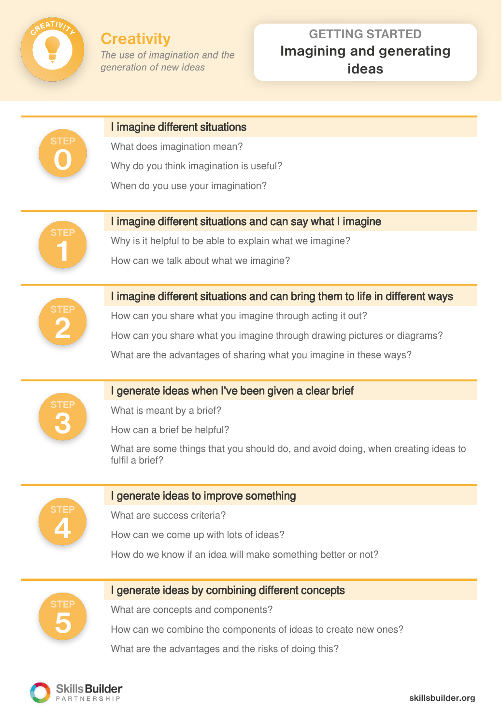

# **GETTING STARTED Imagining and generating ideas**

| <b>STEP</b> | I imagine different situations                                                                      |
|-------------|-----------------------------------------------------------------------------------------------------|
|             | What does imagination mean?                                                                         |
|             | Why do you think imagination is useful?                                                             |
|             | When do you use your imagination?                                                                   |
|             |                                                                                                     |
| <b>STEP</b> | I imagine different situations and can say what I imagine                                           |
|             | Why is it helpful to be able to explain what we imagine?                                            |
|             | How can we talk about what we imagine?                                                              |
|             | I imagine different situations and can bring them to life in different ways                         |
|             | How can you share what you imagine through acting it out?                                           |
|             | How can you share what you imagine through drawing pictures or diagrams?                            |
|             | What are the advantages of sharing what you imagine in these ways?                                  |
|             |                                                                                                     |
|             | I generate ideas when I've been given a clear brief                                                 |
|             | What is meant by a brief?                                                                           |
|             | How can a brief be helpful?                                                                         |
|             | What are some things that you should do, and avoid doing, when creating ideas to<br>fulfil a brief? |
|             |                                                                                                     |
|             | I generate ideas to improve something                                                               |
|             | What are success criteria?                                                                          |
|             | How can we come up with lots of ideas?                                                              |
|             | How do we know if an idea will make something better or not?                                        |
|             | I generate ideas by combining different concepts                                                    |
|             |                                                                                                     |
|             | What are concepts and components?                                                                   |
|             | How can we combine the components of ideas to create new ones?                                      |
|             | What are the advantages and the risks of doing this?                                                |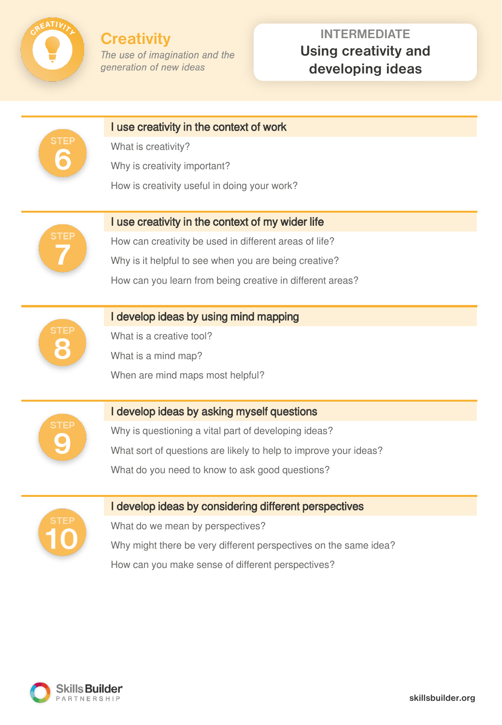

# **INTERMEDIATE Using creativity and developing ideas**

| STEI        | I use creativity in the context of work                          |
|-------------|------------------------------------------------------------------|
|             | What is creativity?                                              |
|             | Why is creativity important?                                     |
|             | How is creativity useful in doing your work?                     |
|             |                                                                  |
|             | I use creativity in the context of my wider life                 |
|             | How can creativity be used in different areas of life?           |
|             | Why is it helpful to see when you are being creative?            |
|             | How can you learn from being creative in different areas?        |
|             |                                                                  |
| <b>STEF</b> | I develop ideas by using mind mapping                            |
|             | What is a creative tool?                                         |
|             | What is a mind map?                                              |
|             | When are mind maps most helpful?                                 |
|             |                                                                  |
|             | I develop ideas by asking myself questions                       |
|             | Why is questioning a vital part of developing ideas?             |
|             | What sort of questions are likely to help to improve your ideas? |
|             | What do you need to know to ask good questions?                  |
|             |                                                                  |
|             | I develop ideas by considering different perspectives            |
|             | What do we mean by perspectives?                                 |
|             | Why might there be very different perspectives on the same idea? |
|             | How can you make sense of different perspectives?                |

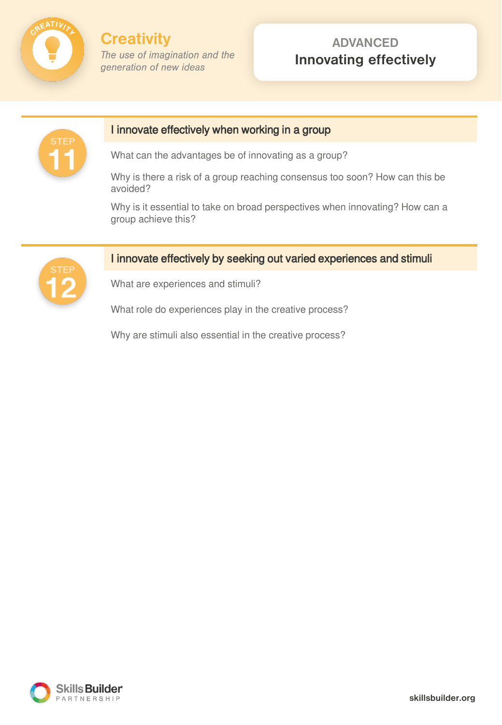

### **ADVANCED Innovating effectively**



#### I innovate effectively when working in a group

What can the advantages be of innovating as a group?

Why is there a risk of a group reaching consensus too soon? How can this be avoided?

Why is it essential to take on broad perspectives when innovating? How can a group achieve this?



#### I innovate effectively by seeking out varied experiences and stimuli

What are experiences and stimuli?

What role do experiences play in the creative process?

Why are stimuli also essential in the creative process?